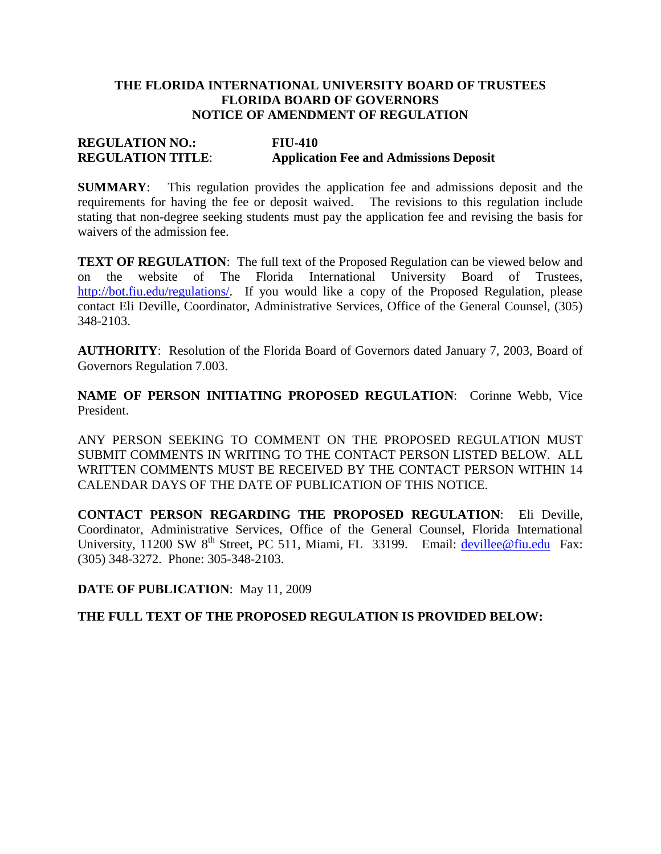# **THE FLORIDA INTERNATIONAL UNIVERSITY BOARD OF TRUSTEES FLORIDA BOARD OF GOVERNORS NOTICE OF AMENDMENT OF REGULATION**

# **REGULATION NO.: FIU-410 REGULATION TITLE**: **Application Fee and Admissions Deposit**

**SUMMARY**: This regulation provides the application fee and admissions deposit and the requirements for having the fee or deposit waived. The revisions to this regulation include stating that non-degree seeking students must pay the application fee and revising the basis for waivers of the admission fee.

**TEXT OF REGULATION:** The full text of the Proposed Regulation can be viewed below and on the website of The Florida International University Board of Trustees, [http://bot.fiu.edu/regulations/.](http://bot.fiu.edu/regulations/) If you would like a copy of the Proposed Regulation, please contact Eli Deville, Coordinator, Administrative Services, Office of the General Counsel, (305) 348-2103.

**AUTHORITY**: Resolution of the Florida Board of Governors dated January 7, 2003, Board of Governors Regulation 7.003.

**NAME OF PERSON INITIATING PROPOSED REGULATION**: Corinne Webb, Vice President.

ANY PERSON SEEKING TO COMMENT ON THE PROPOSED REGULATION MUST SUBMIT COMMENTS IN WRITING TO THE CONTACT PERSON LISTED BELOW. ALL WRITTEN COMMENTS MUST BE RECEIVED BY THE CONTACT PERSON WITHIN 14 CALENDAR DAYS OF THE DATE OF PUBLICATION OF THIS NOTICE.

**CONTACT PERSON REGARDING THE PROPOSED REGULATION**: Eli Deville, Coordinator, Administrative Services, Office of the General Counsel, Florida International University, 11200 SW 8<sup>th</sup> Street, PC 511, Miami, FL 33199. Email: [devillee@fiu.edu](mailto:devillee@fiu.edu) Fax: (305) 348-3272. Phone: 305-348-2103.

### **DATE OF PUBLICATION**: May 11, 2009

# **THE FULL TEXT OF THE PROPOSED REGULATION IS PROVIDED BELOW:**